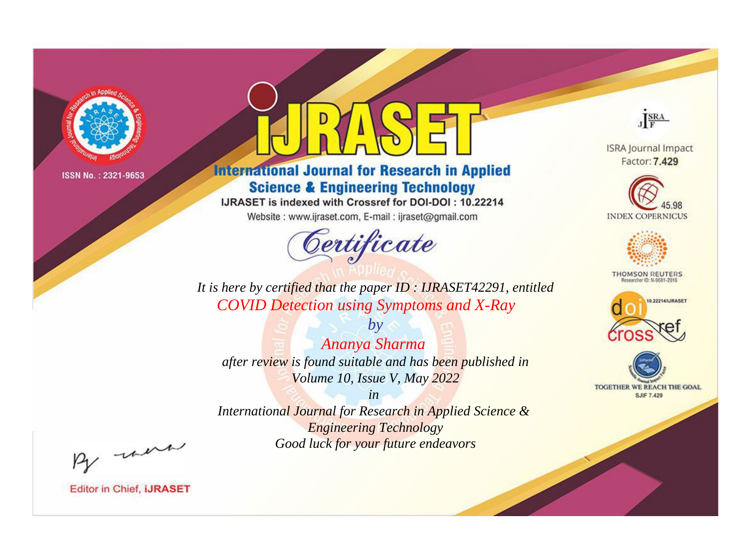

# **International Journal for Research in Applied Science & Engineering Technology**

IJRASET is indexed with Crossref for DOI-DOI: 10.22214

Website: www.ijraset.com, E-mail: ijraset@gmail.com



JERA

**ISRA Journal Impact** Factor: 7.429





**THOMSON REUTERS** 



TOGETHER WE REACH THE GOAL **SJIF 7.429** 

*It is here by certified that the paper ID : IJRASET42291, entitled COVID Detection using Symptoms and X-Ray*

*by Ananya Sharma after review is found suitable and has been published in Volume 10, Issue V, May 2022*

*in* 

*International Journal for Research in Applied Science & Engineering Technology Good luck for your future endeavors*

By morn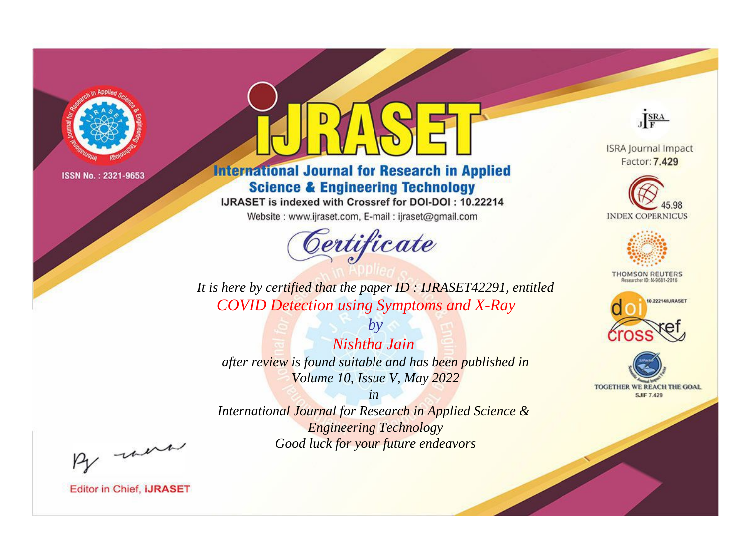

# **International Journal for Research in Applied Science & Engineering Technology**

IJRASET is indexed with Crossref for DOI-DOI: 10.22214

Website: www.ijraset.com, E-mail: ijraset@gmail.com



JERA

**ISRA Journal Impact** Factor: 7.429





**THOMSON REUTERS** 



TOGETHER WE REACH THE GOAL **SJIF 7.429** 

*It is here by certified that the paper ID : IJRASET42291, entitled COVID Detection using Symptoms and X-Ray*

*by Nishtha Jain after review is found suitable and has been published in Volume 10, Issue V, May 2022*

*in* 

*International Journal for Research in Applied Science & Engineering Technology Good luck for your future endeavors*

By morn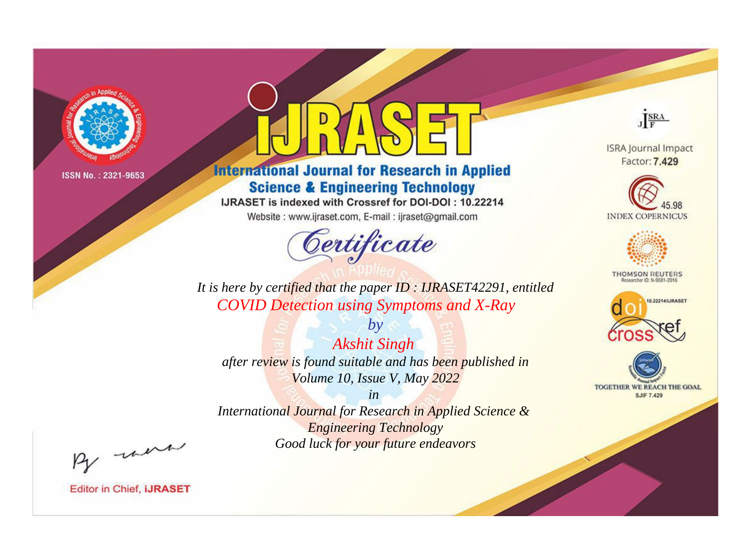

# **International Journal for Research in Applied Science & Engineering Technology**

IJRASET is indexed with Crossref for DOI-DOI: 10.22214

Website: www.ijraset.com, E-mail: ijraset@gmail.com



JERA

**ISRA Journal Impact** Factor: 7.429





**THOMSON REUTERS** 



TOGETHER WE REACH THE GOAL **SJIF 7.429** 

*It is here by certified that the paper ID : IJRASET42291, entitled COVID Detection using Symptoms and X-Ray*

*by Akshit Singh after review is found suitable and has been published in Volume 10, Issue V, May 2022*

*in* 

*International Journal for Research in Applied Science & Engineering Technology Good luck for your future endeavors*

By morn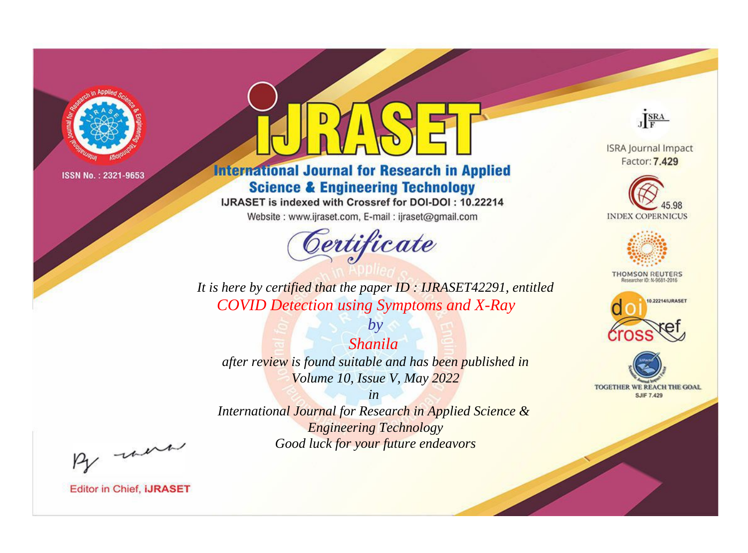

# **International Journal for Research in Applied Science & Engineering Technology**

IJRASET is indexed with Crossref for DOI-DOI: 10.22214

Website: www.ijraset.com, E-mail: ijraset@gmail.com



JERA

**ISRA Journal Impact** Factor: 7.429





**THOMSON REUTERS** 



TOGETHER WE REACH THE GOAL **SJIF 7.429** 

*It is here by certified that the paper ID : IJRASET42291, entitled COVID Detection using Symptoms and X-Ray*

*Shanila after review is found suitable and has been published in Volume 10, Issue V, May 2022*

*by*

*in* 

*International Journal for Research in Applied Science & Engineering Technology Good luck for your future endeavors*

By morn